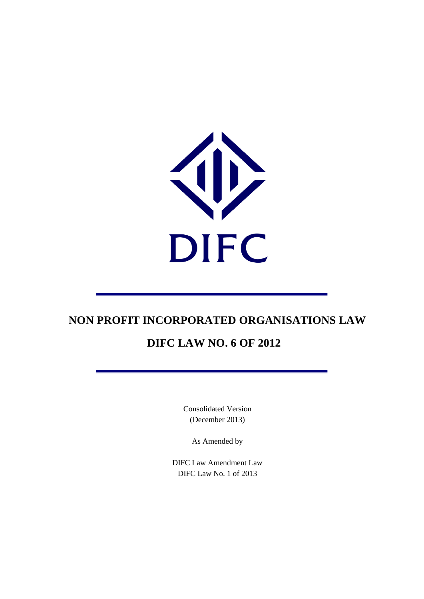

# **DIFC LAW NO. 6 OF 2012**

Consolidated Version (December 2013)

As Amended by

DIFC Law Amendment Law DIFC Law No. 1 of 2013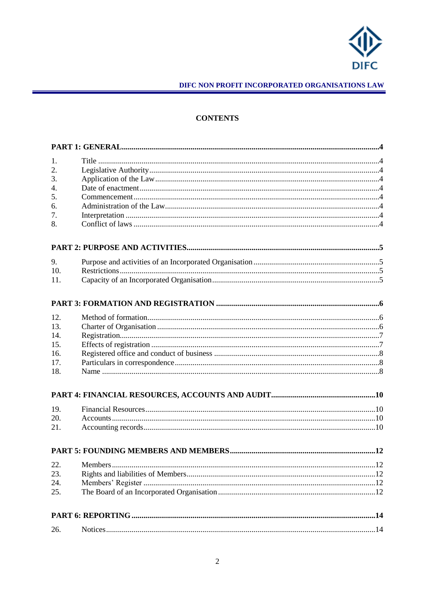

## **CONTENTS**

| 1.               |  |  |
|------------------|--|--|
| 2.               |  |  |
| 3.               |  |  |
| $\overline{4}$ . |  |  |
| 5.               |  |  |
| 6.               |  |  |
| 7.               |  |  |
| 8.               |  |  |
|                  |  |  |
| 9.               |  |  |
| 10.              |  |  |
| 11.              |  |  |
|                  |  |  |
| 12.              |  |  |
| 13.              |  |  |
| 14.              |  |  |
| 15.              |  |  |
| 16.              |  |  |
| 17.              |  |  |
| 18.              |  |  |
|                  |  |  |
| 19.              |  |  |
| 20.              |  |  |
| 21.              |  |  |
|                  |  |  |
| 22.              |  |  |
| 23.              |  |  |
| 24.              |  |  |
| 25.              |  |  |
|                  |  |  |
| 26.              |  |  |
|                  |  |  |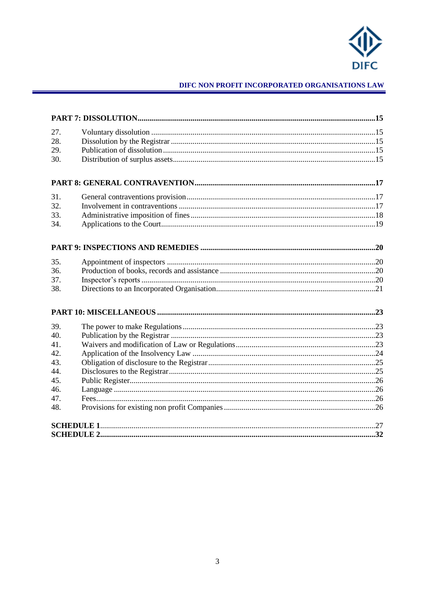

| 27. |  |  |
|-----|--|--|
| 28. |  |  |
| 29. |  |  |
| 30. |  |  |
|     |  |  |
|     |  |  |
| 31. |  |  |
| 32. |  |  |
| 33. |  |  |
| 34. |  |  |
|     |  |  |
| 35. |  |  |
| 36. |  |  |
| 37. |  |  |
| 38. |  |  |
|     |  |  |
|     |  |  |
| 39. |  |  |
| 40. |  |  |
| 41. |  |  |
| 42. |  |  |
| 43. |  |  |
| 44. |  |  |
| 45. |  |  |
| 46. |  |  |
| 47. |  |  |
| 48. |  |  |
|     |  |  |
|     |  |  |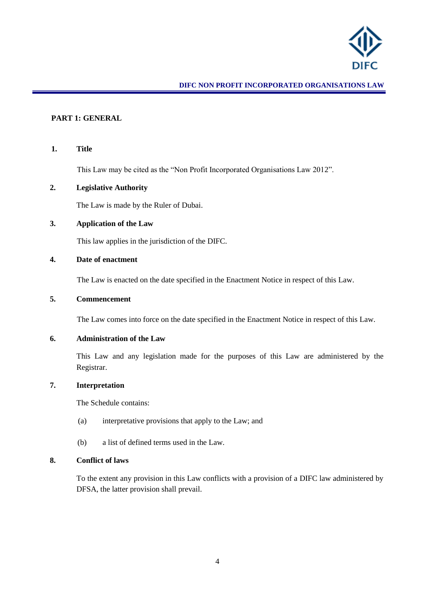

#### <span id="page-3-0"></span>**PART 1: GENERAL**

### <span id="page-3-1"></span>**1. Title**

This Law may be cited as the "Non Profit Incorporated Organisations Law 2012".

#### <span id="page-3-2"></span>**2. Legislative Authority**

The Law is made by the Ruler of Dubai.

## <span id="page-3-3"></span>**3. Application of the Law**

This law applies in the jurisdiction of the DIFC.

## <span id="page-3-4"></span>**4. Date of enactment**

The Law is enacted on the date specified in the Enactment Notice in respect of this Law.

#### <span id="page-3-5"></span>**5. Commencement**

The Law comes into force on the date specified in the Enactment Notice in respect of this Law.

## <span id="page-3-6"></span>**6. Administration of the Law**

This Law and any legislation made for the purposes of this Law are administered by the Registrar.

#### <span id="page-3-7"></span>**7. Interpretation**

The Schedule contains:

- (a) interpretative provisions that apply to the Law; and
- (b) a list of defined terms used in the Law.

## <span id="page-3-8"></span>**8. Conflict of laws**

To the extent any provision in this Law conflicts with a provision of a DIFC law administered by DFSA, the latter provision shall prevail.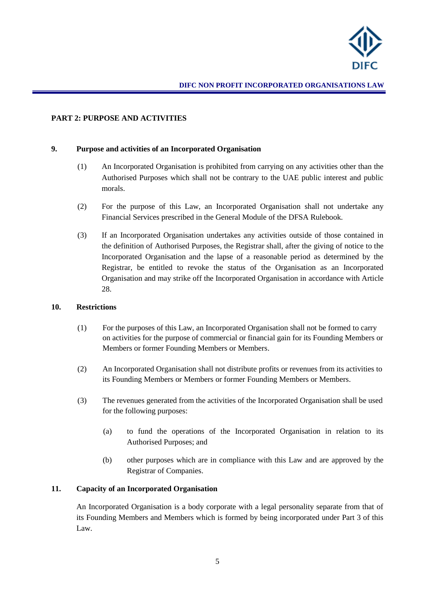

## <span id="page-4-0"></span>**PART 2: PURPOSE AND ACTIVITIES**

#### <span id="page-4-1"></span>**9. Purpose and activities of an Incorporated Organisation**

- (1) An Incorporated Organisation is prohibited from carrying on any activities other than the Authorised Purposes which shall not be contrary to the UAE public interest and public morals.
- (2) For the purpose of this Law, an Incorporated Organisation shall not undertake any Financial Services prescribed in the General Module of the DFSA Rulebook.
- (3) If an Incorporated Organisation undertakes any activities outside of those contained in the definition of Authorised Purposes, the Registrar shall, after the giving of notice to the Incorporated Organisation and the lapse of a reasonable period as determined by the Registrar, be entitled to revoke the status of the Organisation as an Incorporated Organisation and may strike off the Incorporated Organisation in accordance with Article 28.

#### <span id="page-4-2"></span>**10. Restrictions**

- (1) For the purposes of this Law, an Incorporated Organisation shall not be formed to carry on activities for the purpose of commercial or financial gain for its Founding Members or Members or former Founding Members or Members.
- (2) An Incorporated Organisation shall not distribute profits or revenues from its activities to its Founding Members or Members or former Founding Members or Members.
- (3) The revenues generated from the activities of the Incorporated Organisation shall be used for the following purposes:
	- (a) to fund the operations of the Incorporated Organisation in relation to its Authorised Purposes; and
	- (b) other purposes which are in compliance with this Law and are approved by the Registrar of Companies.

## <span id="page-4-3"></span>**11. Capacity of an Incorporated Organisation**

An Incorporated Organisation is a body corporate with a legal personality separate from that of its Founding Members and Members which is formed by being incorporated under Part 3 of this Law.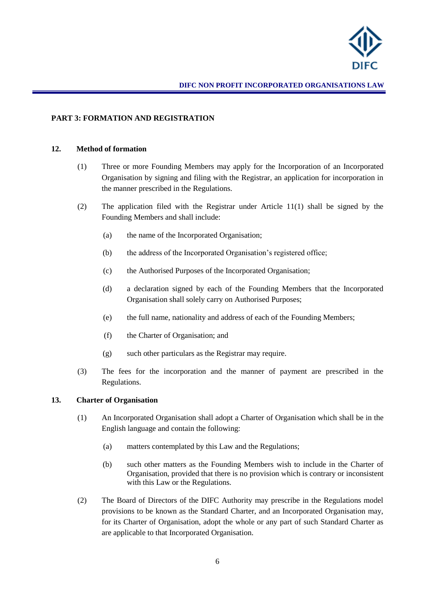

## <span id="page-5-0"></span>**PART 3: FORMATION AND REGISTRATION**

#### <span id="page-5-1"></span>**12. Method of formation**

- (1) Three or more Founding Members may apply for the Incorporation of an Incorporated Organisation by signing and filing with the Registrar, an application for incorporation in the manner prescribed in the Regulations.
- (2) The application filed with the Registrar under Article 11(1) shall be signed by the Founding Members and shall include:
	- (a) the name of the Incorporated Organisation;
	- (b) the address of the Incorporated Organisation's registered office;
	- (c) the Authorised Purposes of the Incorporated Organisation;
	- (d) a declaration signed by each of the Founding Members that the Incorporated Organisation shall solely carry on Authorised Purposes;
	- (e) the full name, nationality and address of each of the Founding Members;
	- (f) the Charter of Organisation; and
	- (g) such other particulars as the Registrar may require.
- (3) The fees for the incorporation and the manner of payment are prescribed in the Regulations.

#### <span id="page-5-2"></span>**13. Charter of Organisation**

- (1) An Incorporated Organisation shall adopt a Charter of Organisation which shall be in the English language and contain the following:
	- (a) matters contemplated by this Law and the Regulations;
	- (b) such other matters as the Founding Members wish to include in the Charter of Organisation, provided that there is no provision which is contrary or inconsistent with this Law or the Regulations.
- (2) The Board of Directors of the DIFC Authority may prescribe in the Regulations model provisions to be known as the Standard Charter, and an Incorporated Organisation may, for its Charter of Organisation, adopt the whole or any part of such Standard Charter as are applicable to that Incorporated Organisation.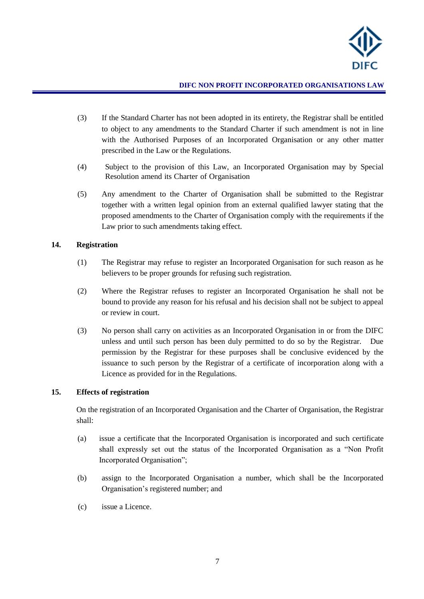

- (3) If the Standard Charter has not been adopted in its entirety, the Registrar shall be entitled to object to any amendments to the Standard Charter if such amendment is not in line with the Authorised Purposes of an Incorporated Organisation or any other matter prescribed in the Law or the Regulations.
- (4) Subject to the provision of this Law, an Incorporated Organisation may by Special Resolution amend its Charter of Organisation
- (5) Any amendment to the Charter of Organisation shall be submitted to the Registrar together with a written legal opinion from an external qualified lawyer stating that the proposed amendments to the Charter of Organisation comply with the requirements if the Law prior to such amendments taking effect.

#### <span id="page-6-0"></span>**14. Registration**

- (1) The Registrar may refuse to register an Incorporated Organisation for such reason as he believers to be proper grounds for refusing such registration.
- (2) Where the Registrar refuses to register an Incorporated Organisation he shall not be bound to provide any reason for his refusal and his decision shall not be subject to appeal or review in court.
- (3) No person shall carry on activities as an Incorporated Organisation in or from the DIFC unless and until such person has been duly permitted to do so by the Registrar. Due permission by the Registrar for these purposes shall be conclusive evidenced by the issuance to such person by the Registrar of a certificate of incorporation along with a Licence as provided for in the Regulations.

#### <span id="page-6-1"></span>**15. Effects of registration**

On the registration of an Incorporated Organisation and the Charter of Organisation, the Registrar shall:

- (a) issue a certificate that the Incorporated Organisation is incorporated and such certificate shall expressly set out the status of the Incorporated Organisation as a "Non Profit Incorporated Organisation";
- (b) assign to the Incorporated Organisation a number, which shall be the Incorporated Organisation's registered number; and
- (c) issue a Licence.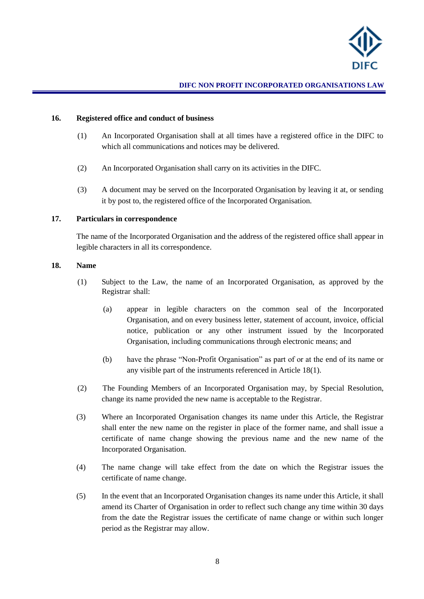

#### <span id="page-7-0"></span>**16. Registered office and conduct of business**

- (1) An Incorporated Organisation shall at all times have a registered office in the DIFC to which all communications and notices may be delivered.
- (2) An Incorporated Organisation shall carry on its activities in the DIFC.
- (3) A document may be served on the Incorporated Organisation by leaving it at, or sending it by post to, the registered office of the Incorporated Organisation.

## <span id="page-7-1"></span>**17. Particulars in correspondence**

The name of the Incorporated Organisation and the address of the registered office shall appear in legible characters in all its correspondence.

#### <span id="page-7-2"></span>**18. Name**

- (1) Subject to the Law, the name of an Incorporated Organisation, as approved by the Registrar shall:
	- (a) appear in legible characters on the common seal of the Incorporated Organisation, and on every business letter, statement of account, invoice, official notice, publication or any other instrument issued by the Incorporated Organisation, including communications through electronic means; and
	- (b) have the phrase "Non-Profit Organisation" as part of or at the end of its name or any visible part of the instruments referenced in Article 18(1).
- (2) The Founding Members of an Incorporated Organisation may, by Special Resolution, change its name provided the new name is acceptable to the Registrar.
- (3) Where an Incorporated Organisation changes its name under this Article, the Registrar shall enter the new name on the register in place of the former name, and shall issue a certificate of name change showing the previous name and the new name of the Incorporated Organisation.
- (4) The name change will take effect from the date on which the Registrar issues the certificate of name change.
- (5) In the event that an Incorporated Organisation changes its name under this Article, it shall amend its Charter of Organisation in order to reflect such change any time within 30 days from the date the Registrar issues the certificate of name change or within such longer period as the Registrar may allow.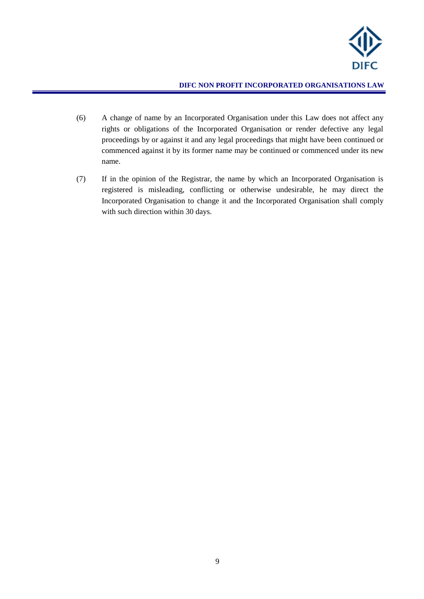

- (6) A change of name by an Incorporated Organisation under this Law does not affect any rights or obligations of the Incorporated Organisation or render defective any legal proceedings by or against it and any legal proceedings that might have been continued or commenced against it by its former name may be continued or commenced under its new name.
- (7) If in the opinion of the Registrar, the name by which an Incorporated Organisation is registered is misleading, conflicting or otherwise undesirable, he may direct the Incorporated Organisation to change it and the Incorporated Organisation shall comply with such direction within 30 days.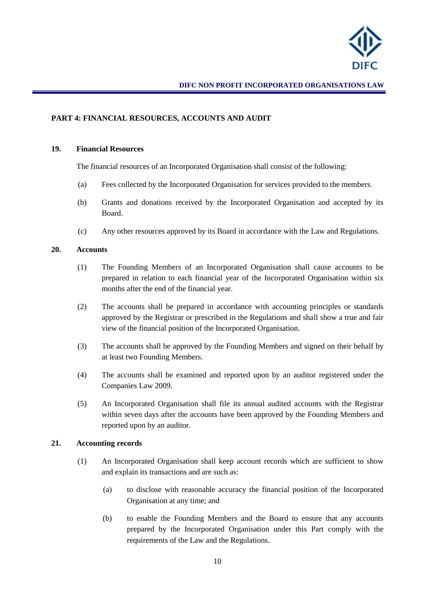

## <span id="page-9-0"></span>**PART 4: FINANCIAL RESOURCES, ACCOUNTS AND AUDIT**

#### <span id="page-9-1"></span>**19. Financial Resources**

The financial resources of an Incorporated Organisation shall consist of the following:

- (a) Fees collected by the Incorporated Organisation for services provided to the members.
- (b) Grants and donations received by the Incorporated Organisation and accepted by its Board.
- (c) Any other resources approved by its Board in accordance with the Law and Regulations.

#### <span id="page-9-2"></span>**20. Accounts**

- (1) The Founding Members of an Incorporated Organisation shall cause accounts to be prepared in relation to each financial year of the Incorporated Organisation within six months after the end of the financial year.
- (2) The accounts shall be prepared in accordance with accounting principles or standards approved by the Registrar or prescribed in the Regulations and shall show a true and fair view of the financial position of the Incorporated Organisation.
- (3) The accounts shall be approved by the Founding Members and signed on their behalf by at least two Founding Members.
- (4) The accounts shall be examined and reported upon by an auditor registered under the Companies Law 2009.
- (5) An Incorporated Organisation shall file its annual audited accounts with the Registrar within seven days after the accounts have been approved by the Founding Members and reported upon by an auditor.

#### <span id="page-9-3"></span>**21. Accounting records**

- (1) An Incorporated Organisation shall keep account records which are sufficient to show and explain its transactions and are such as:
	- (a) to disclose with reasonable accuracy the financial position of the Incorporated Organisation at any time; and
	- (b) to enable the Founding Members and the Board to ensure that any accounts prepared by the Incorporated Organisation under this Part comply with the requirements of the Law and the Regulations.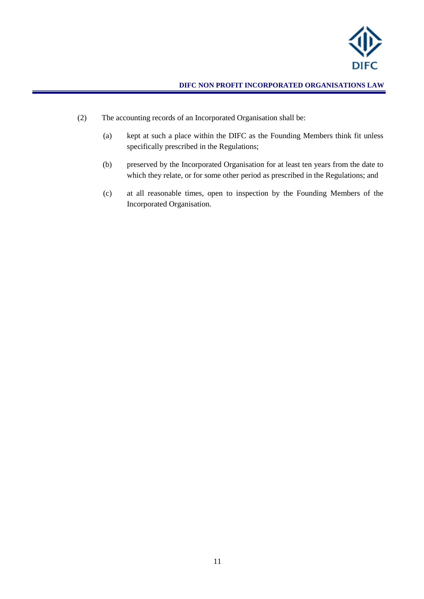

- (2) The accounting records of an Incorporated Organisation shall be:
	- (a) kept at such a place within the DIFC as the Founding Members think fit unless specifically prescribed in the Regulations;
	- (b) preserved by the Incorporated Organisation for at least ten years from the date to which they relate, or for some other period as prescribed in the Regulations; and
	- (c) at all reasonable times, open to inspection by the Founding Members of the Incorporated Organisation.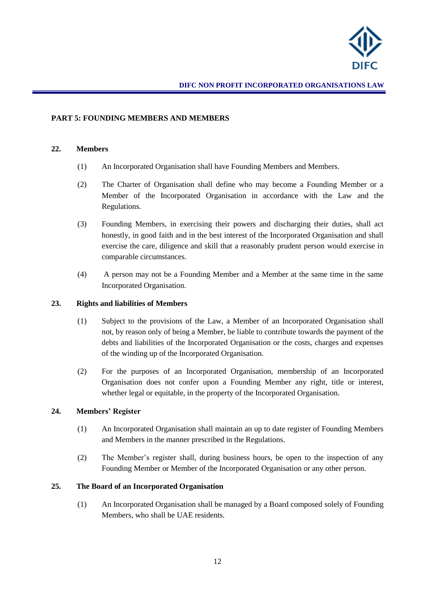

#### <span id="page-11-0"></span>**PART 5: FOUNDING MEMBERS AND MEMBERS**

#### <span id="page-11-1"></span>**22. Members**

- (1) An Incorporated Organisation shall have Founding Members and Members.
- (2) The Charter of Organisation shall define who may become a Founding Member or a Member of the Incorporated Organisation in accordance with the Law and the Regulations.
- (3) Founding Members, in exercising their powers and discharging their duties, shall act honestly, in good faith and in the best interest of the Incorporated Organisation and shall exercise the care, diligence and skill that a reasonably prudent person would exercise in comparable circumstances.
- (4) A person may not be a Founding Member and a Member at the same time in the same Incorporated Organisation.

#### <span id="page-11-2"></span>**23. Rights and liabilities of Members**

- (1) Subject to the provisions of the Law, a Member of an Incorporated Organisation shall not, by reason only of being a Member, be liable to contribute towards the payment of the debts and liabilities of the Incorporated Organisation or the costs, charges and expenses of the winding up of the Incorporated Organisation.
- (2) For the purposes of an Incorporated Organisation, membership of an Incorporated Organisation does not confer upon a Founding Member any right, title or interest, whether legal or equitable, in the property of the Incorporated Organisation.

## <span id="page-11-3"></span>**24. Members' Register**

- (1) An Incorporated Organisation shall maintain an up to date register of Founding Members and Members in the manner prescribed in the Regulations.
- (2) The Member's register shall, during business hours, be open to the inspection of any Founding Member or Member of the Incorporated Organisation or any other person.

## <span id="page-11-4"></span>**25. The Board of an Incorporated Organisation**

(1) An Incorporated Organisation shall be managed by a Board composed solely of Founding Members, who shall be UAE residents.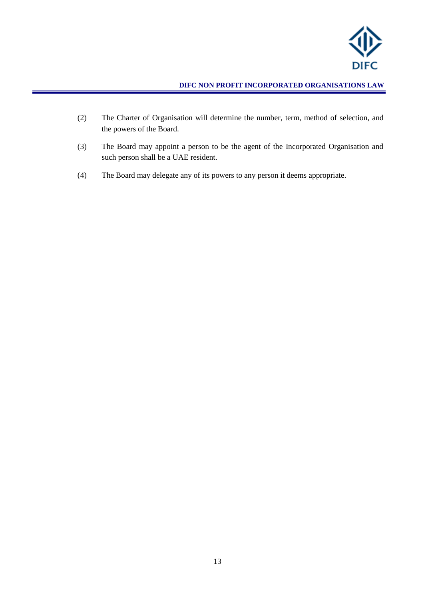

- (2) The Charter of Organisation will determine the number, term, method of selection, and the powers of the Board.
- (3) The Board may appoint a person to be the agent of the Incorporated Organisation and such person shall be a UAE resident.
- (4) The Board may delegate any of its powers to any person it deems appropriate.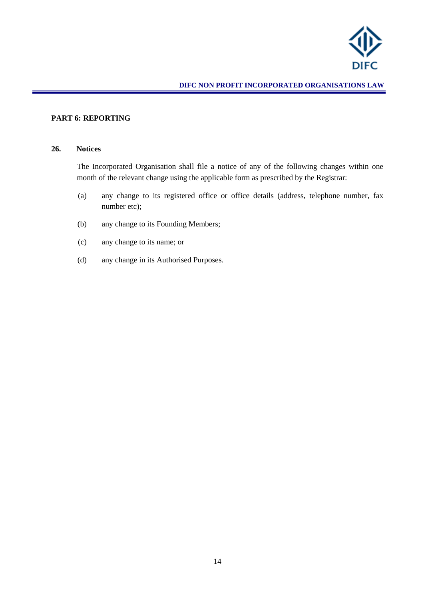

## <span id="page-13-0"></span>**PART 6: REPORTING**

#### <span id="page-13-1"></span>**26. Notices**

The Incorporated Organisation shall file a notice of any of the following changes within one month of the relevant change using the applicable form as prescribed by the Registrar:

- (a) any change to its registered office or office details (address, telephone number, fax number etc);
- (b) any change to its Founding Members;
- (c) any change to its name; or
- (d) any change in its Authorised Purposes.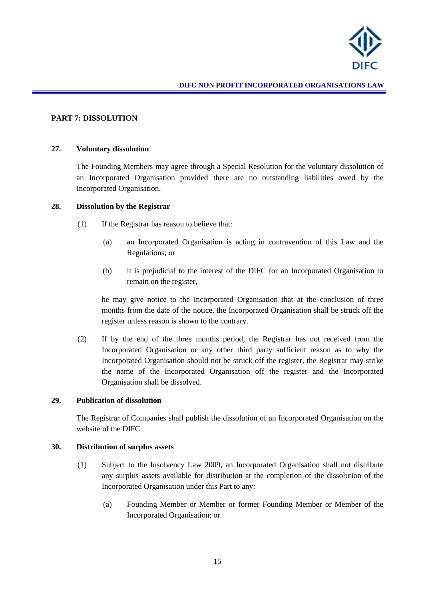

#### <span id="page-14-0"></span>**PART 7: DISSOLUTION**

#### <span id="page-14-1"></span>**27. Voluntary dissolution**

The Founding Members may agree through a Special Resolution for the voluntary dissolution of an Incorporated Organisation provided there are no outstanding liabilities owed by the Incorporated Organisation.

#### <span id="page-14-2"></span>**28. Dissolution by the Registrar**

- (1) If the Registrar has reason to believe that:
	- (a) an Incorporated Organisation is acting in contravention of this Law and the Regulations; or
	- (b) it is prejudicial to the interest of the DIFC for an Incorporated Organisation to remain on the register,

he may give notice to the Incorporated Organisation that at the conclusion of three months from the date of the notice, the Incorporated Organisation shall be struck off the register unless reason is shown to the contrary.

(2) If by the end of the three months period, the Registrar has not received from the Incorporated Organisation or any other third party sufficient reason as to why the Incorporated Organisation should not be struck off the register, the Registrar may strike the name of the Incorporated Organisation off the register and the Incorporated Organisation shall be dissolved.

#### <span id="page-14-3"></span>**29. Publication of dissolution**

The Registrar of Companies shall publish the dissolution of an Incorporated Organisation on the website of the DIFC.

#### <span id="page-14-4"></span>**30. Distribution of surplus assets**

- (1) Subject to the Insolvency Law 2009, an Incorporated Organisation shall not distribute any surplus assets available for distribution at the completion of the dissolution of the Incorporated Organisation under this Part to any:
	- (a) Founding Member or Member or former Founding Member or Member of the Incorporated Organisation; or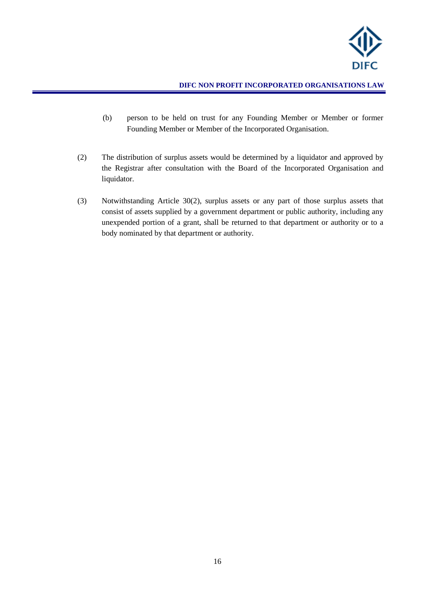

- (b) person to be held on trust for any Founding Member or Member or former Founding Member or Member of the Incorporated Organisation.
- (2) The distribution of surplus assets would be determined by a liquidator and approved by the Registrar after consultation with the Board of the Incorporated Organisation and liquidator.
- (3) Notwithstanding Article 30(2), surplus assets or any part of those surplus assets that consist of assets supplied by a government department or public authority, including any unexpended portion of a grant, shall be returned to that department or authority or to a body nominated by that department or authority.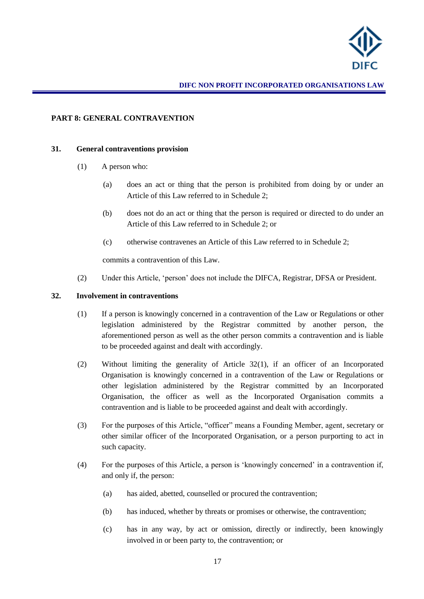

## <span id="page-16-0"></span>**PART 8: GENERAL CONTRAVENTION**

#### <span id="page-16-1"></span>**31. General contraventions provision**

- (1) A person who:
	- (a) does an act or thing that the person is prohibited from doing by or under an Article of this Law referred to in Schedule 2;
	- (b) does not do an act or thing that the person is required or directed to do under an Article of this Law referred to in Schedule 2; or
	- (c) otherwise contravenes an Article of this Law referred to in Schedule 2;

commits a contravention of this Law.

(2) Under this Article, 'person' does not include the DIFCA, Registrar, DFSA or President.

#### <span id="page-16-2"></span>**32. Involvement in contraventions**

- (1) If a person is knowingly concerned in a contravention of the Law or Regulations or other legislation administered by the Registrar committed by another person, the aforementioned person as well as the other person commits a contravention and is liable to be proceeded against and dealt with accordingly.
- (2) Without limiting the generality of Article 32(1), if an officer of an Incorporated Organisation is knowingly concerned in a contravention of the Law or Regulations or other legislation administered by the Registrar committed by an Incorporated Organisation, the officer as well as the Incorporated Organisation commits a contravention and is liable to be proceeded against and dealt with accordingly.
- (3) For the purposes of this Article, "officer" means a Founding Member, agent*,* secretary or other similar officer of the Incorporated Organisation, or a person purporting to act in such capacity.
- (4) For the purposes of this Article, a person is 'knowingly concerned' in a contravention if, and only if, the person:
	- (a) has aided, abetted, counselled or procured the contravention;
	- (b) has induced, whether by threats or promises or otherwise, the contravention;
	- (c) has in any way, by act or omission, directly or indirectly, been knowingly involved in or been party to, the contravention; or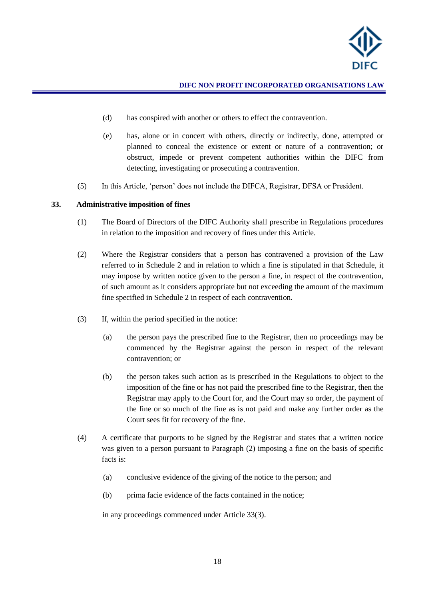

- (d) has conspired with another or others to effect the contravention.
- (e) has, alone or in concert with others, directly or indirectly, done, attempted or planned to conceal the existence or extent or nature of a contravention; or obstruct, impede or prevent competent authorities within the DIFC from detecting, investigating or prosecuting a contravention.
- (5) In this Article, 'person' does not include the DIFCA, Registrar, DFSA or President.

#### <span id="page-17-0"></span>**33. Administrative imposition of fines**

- (1) The Board of Directors of the DIFC Authority shall prescribe in Regulations procedures in relation to the imposition and recovery of fines under this Article.
- (2) Where the Registrar considers that a person has contravened a provision of the Law referred to in Schedule 2 and in relation to which a fine is stipulated in that Schedule, it may impose by written notice given to the person a fine, in respect of the contravention, of such amount as it considers appropriate but not exceeding the amount of the maximum fine specified in Schedule 2 in respect of each contravention.
- (3) If, within the period specified in the notice:
	- (a) the person pays the prescribed fine to the Registrar, then no proceedings may be commenced by the Registrar against the person in respect of the relevant contravention; or
	- (b) the person takes such action as is prescribed in the Regulations to object to the imposition of the fine or has not paid the prescribed fine to the Registrar, then the Registrar may apply to the Court for, and the Court may so order, the payment of the fine or so much of the fine as is not paid and make any further order as the Court sees fit for recovery of the fine.
- (4) A certificate that purports to be signed by the Registrar and states that a written notice was given to a person pursuant to Paragraph (2) imposing a fine on the basis of specific facts is:
	- (a) conclusive evidence of the giving of the notice to the person; and
	- (b) prima facie evidence of the facts contained in the notice;

in any proceedings commenced under Article 33(3).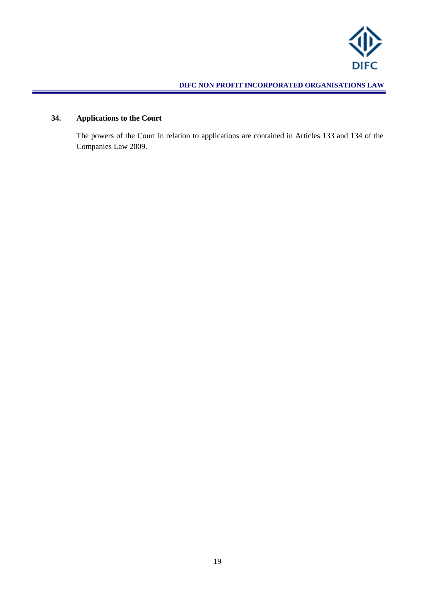

# <span id="page-18-0"></span>**34. Applications to the Court**

The powers of the Court in relation to applications are contained in Articles 133 and 134 of the Companies Law 2009.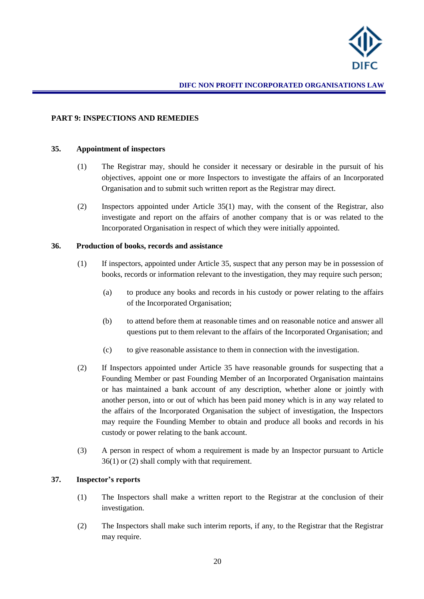

#### <span id="page-19-0"></span>**PART 9: INSPECTIONS AND REMEDIES**

#### <span id="page-19-1"></span>**35. Appointment of inspectors**

- (1) The Registrar may, should he consider it necessary or desirable in the pursuit of his objectives, appoint one or more Inspectors to investigate the affairs of an Incorporated Organisation and to submit such written report as the Registrar may direct.
- (2) Inspectors appointed under Article 35(1) may, with the consent of the Registrar, also investigate and report on the affairs of another company that is or was related to the Incorporated Organisation in respect of which they were initially appointed.

#### <span id="page-19-2"></span>**36. Production of books, records and assistance**

- (1) If inspectors, appointed under Article 35, suspect that any person may be in possession of books, records or information relevant to the investigation, they may require such person;
	- (a) to produce any books and records in his custody or power relating to the affairs of the Incorporated Organisation;
	- (b) to attend before them at reasonable times and on reasonable notice and answer all questions put to them relevant to the affairs of the Incorporated Organisation; and
	- (c) to give reasonable assistance to them in connection with the investigation.
- (2) If Inspectors appointed under Article 35 have reasonable grounds for suspecting that a Founding Member or past Founding Member of an Incorporated Organisation maintains or has maintained a bank account of any description, whether alone or jointly with another person, into or out of which has been paid money which is in any way related to the affairs of the Incorporated Organisation the subject of investigation, the Inspectors may require the Founding Member to obtain and produce all books and records in his custody or power relating to the bank account.
- (3) A person in respect of whom a requirement is made by an Inspector pursuant to Article 36(1) or (2) shall comply with that requirement.

### <span id="page-19-3"></span>**37. Inspector's reports**

- (1) The Inspectors shall make a written report to the Registrar at the conclusion of their investigation.
- (2) The Inspectors shall make such interim reports, if any, to the Registrar that the Registrar may require.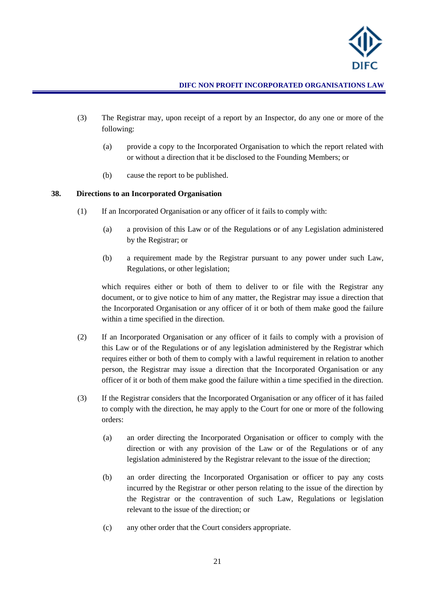

- (3) The Registrar may, upon receipt of a report by an Inspector, do any one or more of the following:
	- (a) provide a copy to the Incorporated Organisation to which the report related with or without a direction that it be disclosed to the Founding Members; or
	- (b) cause the report to be published.

## <span id="page-20-0"></span>**38. Directions to an Incorporated Organisation**

- (1) If an Incorporated Organisation or any officer of it fails to comply with:
	- (a) a provision of this Law or of the Regulations or of any Legislation administered by the Registrar; or
	- (b) a requirement made by the Registrar pursuant to any power under such Law, Regulations, or other legislation;

which requires either or both of them to deliver to or file with the Registrar any document, or to give notice to him of any matter, the Registrar may issue a direction that the Incorporated Organisation or any officer of it or both of them make good the failure within a time specified in the direction.

- (2) If an Incorporated Organisation or any officer of it fails to comply with a provision of this Law or of the Regulations or of any legislation administered by the Registrar which requires either or both of them to comply with a lawful requirement in relation to another person, the Registrar may issue a direction that the Incorporated Organisation or any officer of it or both of them make good the failure within a time specified in the direction.
- (3) If the Registrar considers that the Incorporated Organisation or any officer of it has failed to comply with the direction, he may apply to the Court for one or more of the following orders:
	- (a) an order directing the Incorporated Organisation or officer to comply with the direction or with any provision of the Law or of the Regulations or of any legislation administered by the Registrar relevant to the issue of the direction;
	- (b) an order directing the Incorporated Organisation or officer to pay any costs incurred by the Registrar or other person relating to the issue of the direction by the Registrar or the contravention of such Law, Regulations or legislation relevant to the issue of the direction; or
	- (c) any other order that the Court considers appropriate.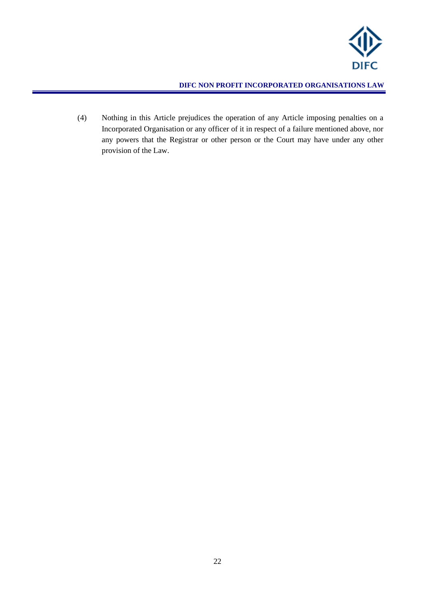

(4) Nothing in this Article prejudices the operation of any Article imposing penalties on a Incorporated Organisation or any officer of it in respect of a failure mentioned above, nor any powers that the Registrar or other person or the Court may have under any other provision of the Law.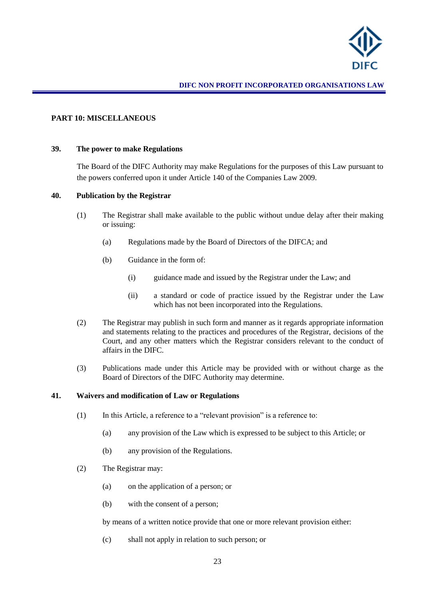

#### <span id="page-22-0"></span>**PART 10: MISCELLANEOUS**

#### <span id="page-22-1"></span>**39. The power to make Regulations**

The Board of the DIFC Authority may make Regulations for the purposes of this Law pursuant to the powers conferred upon it under Article 140 of the Companies Law 2009.

#### <span id="page-22-2"></span>**40. Publication by the Registrar**

- (1) The Registrar shall make available to the public without undue delay after their making or issuing:
	- (a) Regulations made by the Board of Directors of the DIFCA; and
	- (b) Guidance in the form of:
		- (i) guidance made and issued by the Registrar under the Law; and
		- (ii) a standard or code of practice issued by the Registrar under the Law which has not been incorporated into the Regulations.
- (2) The Registrar may publish in such form and manner as it regards appropriate information and statements relating to the practices and procedures of the Registrar, decisions of the Court, and any other matters which the Registrar considers relevant to the conduct of affairs in the DIFC.
- (3) Publications made under this Article may be provided with or without charge as the Board of Directors of the DIFC Authority may determine.

#### <span id="page-22-3"></span>**41. Waivers and modification of Law or Regulations**

- (1) In this Article, a reference to a "relevant provision" is a reference to:
	- (a) any provision of the Law which is expressed to be subject to this Article; or
	- (b) any provision of the Regulations.
- (2) The Registrar may:
	- (a) on the application of a person; or
	- (b) with the consent of a person;

by means of a written notice provide that one or more relevant provision either:

(c) shall not apply in relation to such person; or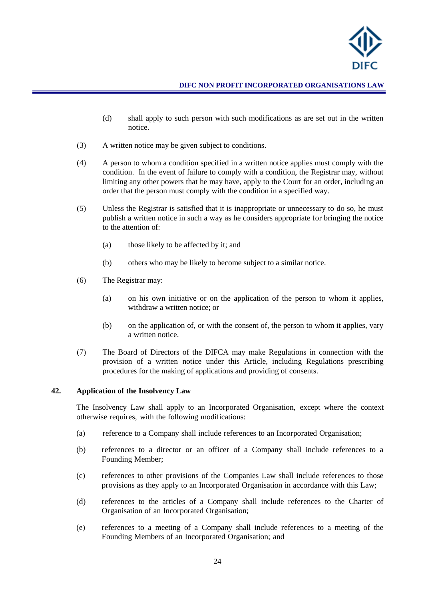

- (d) shall apply to such person with such modifications as are set out in the written notice.
- (3) A written notice may be given subject to conditions.
- (4) A person to whom a condition specified in a written notice applies must comply with the condition. In the event of failure to comply with a condition, the Registrar may, without limiting any other powers that he may have, apply to the Court for an order, including an order that the person must comply with the condition in a specified way.
- (5) Unless the Registrar is satisfied that it is inappropriate or unnecessary to do so, he must publish a written notice in such a way as he considers appropriate for bringing the notice to the attention of:
	- (a) those likely to be affected by it; and
	- (b) others who may be likely to become subject to a similar notice.
- (6) The Registrar may:
	- (a) on his own initiative or on the application of the person to whom it applies, withdraw a written notice; or
	- (b) on the application of, or with the consent of, the person to whom it applies, vary a written notice.
- (7) The Board of Directors of the DIFCA may make Regulations in connection with the provision of a written notice under this Article, including Regulations prescribing procedures for the making of applications and providing of consents.

#### <span id="page-23-0"></span>**42. Application of the Insolvency Law**

The Insolvency Law shall apply to an Incorporated Organisation, except where the context otherwise requires, with the following modifications:

- (a) reference to a Company shall include references to an Incorporated Organisation;
- (b) references to a director or an officer of a Company shall include references to a Founding Member;
- (c) references to other provisions of the Companies Law shall include references to those provisions as they apply to an Incorporated Organisation in accordance with this Law;
- (d) references to the articles of a Company shall include references to the Charter of Organisation of an Incorporated Organisation;
- (e) references to a meeting of a Company shall include references to a meeting of the Founding Members of an Incorporated Organisation; and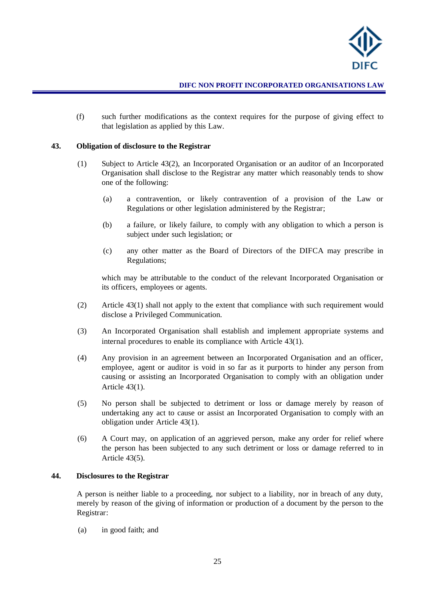

(f) such further modifications as the context requires for the purpose of giving effect to that legislation as applied by this Law.

#### <span id="page-24-3"></span><span id="page-24-0"></span>**43. Obligation of disclosure to the Registrar**

- (1) Subject to Article 4[3\(2\),](#page-24-2) an Incorporated Organisation or an auditor of an Incorporated Organisation shall disclose to the Registrar any matter which reasonably tends to show one of the following:
	- (a) a contravention, or likely contravention of a provision of the Law or Regulations or other legislation administered by the Registrar;
	- (b) a failure, or likely failure, to comply with any obligation to which a person is subject under such legislation; or
	- (c) any other matter as the Board of Directors of the DIFCA may prescribe in Regulations;

which may be attributable to the conduct of the relevant Incorporated Organisation or its officers, employees or agents.

- <span id="page-24-2"></span>(2) Article 4[3\(1\)](#page-24-3) shall not apply to the extent that compliance with such requirement would disclose a Privileged Communication.
- (3) An Incorporated Organisation shall establish and implement appropriate systems and internal procedures to enable its compliance with Article 4[3\(1\).](#page-24-3)
- (4) Any provision in an agreement between an Incorporated Organisation and an officer, employee, agent or auditor is void in so far as it purports to hinder any person from causing or assisting an Incorporated Organisation to comply with an obligation under Article 4[3\(1\).](#page-24-3)
- <span id="page-24-4"></span>(5) No person shall be subjected to detriment or loss or damage merely by reason of undertaking any act to cause or assist an Incorporated Organisation to comply with an obligation under Article 43(1).
- (6) A Court may, on application of an aggrieved person, make any order for relief where the person has been subjected to any such detriment or loss or damage referred to in Article 4[3\(5\).](#page-24-4)

#### <span id="page-24-1"></span>**44. Disclosures to the Registrar**

A person is neither liable to a proceeding, nor subject to a liability, nor in breach of any duty, merely by reason of the giving of information or production of a document by the person to the Registrar:

(a) in good faith; and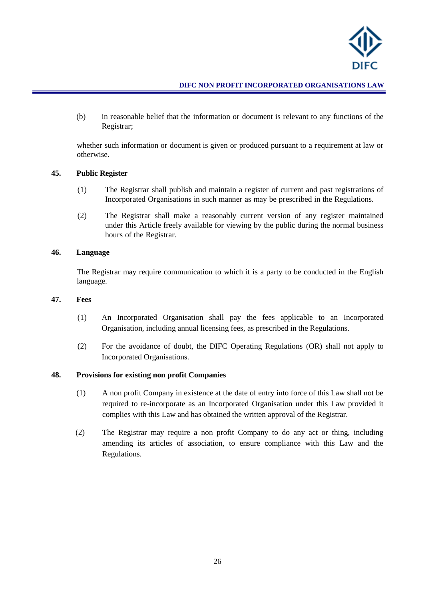

(b) in reasonable belief that the information or document is relevant to any functions of the Registrar;

whether such information or document is given or produced pursuant to a requirement at law or otherwise.

#### <span id="page-25-0"></span>**45. Public Register**

- (1) The Registrar shall publish and maintain a register of current and past registrations of Incorporated Organisations in such manner as may be prescribed in the Regulations.
- (2) The Registrar shall make a reasonably current version of any register maintained under this Article freely available for viewing by the public during the normal business hours of the Registrar.

#### <span id="page-25-1"></span>**46. Language**

The Registrar may require communication to which it is a party to be conducted in the English language.

#### <span id="page-25-2"></span>**47. Fees**

- (1) An Incorporated Organisation shall pay the fees applicable to an Incorporated Organisation, including annual licensing fees, as prescribed in the Regulations.
- (2) For the avoidance of doubt, the DIFC Operating Regulations (OR) shall not apply to Incorporated Organisations.

#### <span id="page-25-3"></span>**48. Provisions for existing non profit Companies**

- (1) A non profit Company in existence at the date of entry into force of this Law shall not be required to re-incorporate as an Incorporated Organisation under this Law provided it complies with this Law and has obtained the written approval of the Registrar.
- (2) The Registrar may require a non profit Company to do any act or thing, including amending its articles of association, to ensure compliance with this Law and the Regulations.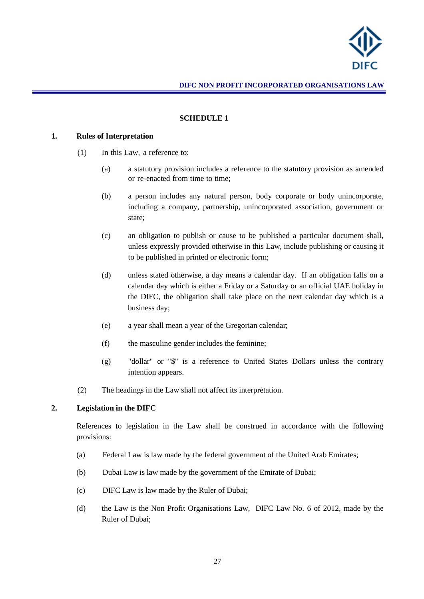

#### <span id="page-26-0"></span>**SCHEDULE 1**

#### **1. Rules of Interpretation**

- (1) In this Law, a reference to:
	- (a) a statutory provision includes a reference to the statutory provision as amended or re-enacted from time to time;
	- (b) a person includes any natural person, body corporate or body unincorporate, including a company, partnership, unincorporated association, government or state;
	- (c) an obligation to publish or cause to be published a particular document shall, unless expressly provided otherwise in this Law, include publishing or causing it to be published in printed or electronic form;
	- (d) unless stated otherwise, a day means a calendar day. If an obligation falls on a calendar day which is either a Friday or a Saturday or an official UAE holiday in the DIFC, the obligation shall take place on the next calendar day which is a business day;
	- (e) a year shall mean a year of the Gregorian calendar;
	- (f) the masculine gender includes the feminine;
	- (g) "dollar" or "\$" is a reference to United States Dollars unless the contrary intention appears.
- (2) The headings in the Law shall not affect its interpretation.

#### **2. Legislation in the DIFC**

References to legislation in the Law shall be construed in accordance with the following provisions:

- (a) Federal Law is law made by the federal government of the United Arab Emirates;
- (b) Dubai Law is law made by the government of the Emirate of Dubai;
- (c) DIFC Law is law made by the Ruler of Dubai;
- (d) the Law is the Non Profit Organisations Law, DIFC Law No. 6 of 2012, made by the Ruler of Dubai;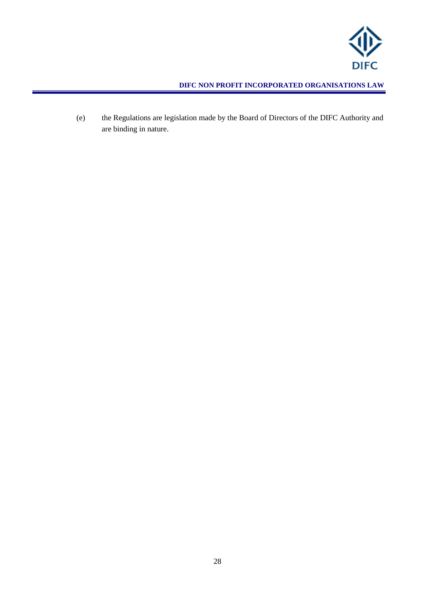

(e) the Regulations are legislation made by the Board of Directors of the DIFC Authority and are binding in nature.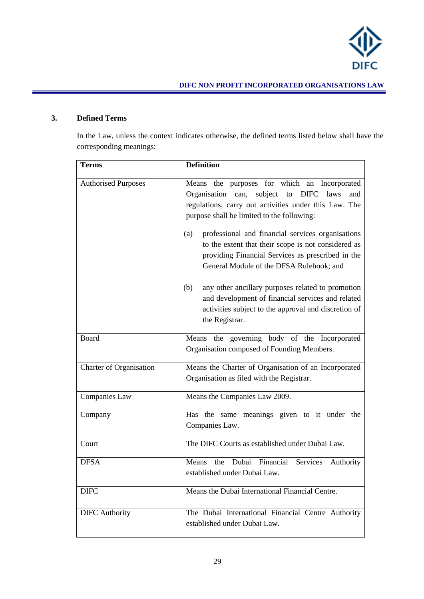

# **3. Defined Terms**

In the Law, unless the context indicates otherwise, the defined terms listed below shall have the corresponding meanings:

| <b>Terms</b>                   | <b>Definition</b>                                                                                                                                                                                                                                                                                                                                                                                                                        |
|--------------------------------|------------------------------------------------------------------------------------------------------------------------------------------------------------------------------------------------------------------------------------------------------------------------------------------------------------------------------------------------------------------------------------------------------------------------------------------|
| <b>Authorised Purposes</b>     | Means the purposes for which an Incorporated<br>Organisation can, subject<br><b>DIFC</b><br>to<br>laws<br>and<br>regulations, carry out activities under this Law. The<br>purpose shall be limited to the following:<br>professional and financial services organisations<br>(a)<br>to the extent that their scope is not considered as<br>providing Financial Services as prescribed in the<br>General Module of the DFSA Rulebook; and |
|                                | any other ancillary purposes related to promotion<br>(b)<br>and development of financial services and related<br>activities subject to the approval and discretion of<br>the Registrar.                                                                                                                                                                                                                                                  |
| Board                          | Means the governing body of the Incorporated<br>Organisation composed of Founding Members.                                                                                                                                                                                                                                                                                                                                               |
| <b>Charter of Organisation</b> | Means the Charter of Organisation of an Incorporated<br>Organisation as filed with the Registrar.                                                                                                                                                                                                                                                                                                                                        |
| Companies Law                  | Means the Companies Law 2009.                                                                                                                                                                                                                                                                                                                                                                                                            |
| Company                        | Has the same meanings given to it under the<br>Companies Law.                                                                                                                                                                                                                                                                                                                                                                            |
| Court                          | The DIFC Courts as established under Dubai Law.                                                                                                                                                                                                                                                                                                                                                                                          |
| <b>DFSA</b>                    | the Dubai Financial<br>Means<br>Services<br>Authority<br>established under Dubai Law.                                                                                                                                                                                                                                                                                                                                                    |
| <b>DIFC</b>                    | Means the Dubai International Financial Centre.                                                                                                                                                                                                                                                                                                                                                                                          |
| <b>DIFC</b> Authority          | The Dubai International Financial Centre Authority<br>established under Dubai Law.                                                                                                                                                                                                                                                                                                                                                       |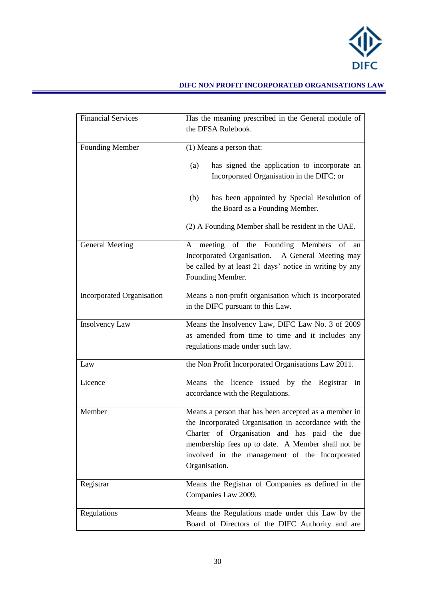

| <b>Financial Services</b>        | Has the meaning prescribed in the General module of                                                                                                                                                                                                                                  |
|----------------------------------|--------------------------------------------------------------------------------------------------------------------------------------------------------------------------------------------------------------------------------------------------------------------------------------|
|                                  | the DFSA Rulebook.                                                                                                                                                                                                                                                                   |
| <b>Founding Member</b>           | (1) Means a person that:                                                                                                                                                                                                                                                             |
|                                  | has signed the application to incorporate an<br>(a)<br>Incorporated Organisation in the DIFC; or                                                                                                                                                                                     |
|                                  | has been appointed by Special Resolution of<br>(b)<br>the Board as a Founding Member.                                                                                                                                                                                                |
|                                  | (2) A Founding Member shall be resident in the UAE.                                                                                                                                                                                                                                  |
| <b>General Meeting</b>           | meeting of the Founding Members of<br>A<br>an<br>Incorporated Organisation. A General Meeting may<br>be called by at least 21 days' notice in writing by any<br>Founding Member.                                                                                                     |
| <b>Incorporated Organisation</b> | Means a non-profit organisation which is incorporated<br>in the DIFC pursuant to this Law.                                                                                                                                                                                           |
| <b>Insolvency Law</b>            | Means the Insolvency Law, DIFC Law No. 3 of 2009<br>as amended from time to time and it includes any<br>regulations made under such law.                                                                                                                                             |
| Law                              | the Non Profit Incorporated Organisations Law 2011.                                                                                                                                                                                                                                  |
| Licence                          | the licence issued by the Registrar in<br>Means<br>accordance with the Regulations.                                                                                                                                                                                                  |
| Member                           | Means a person that has been accepted as a member in<br>the Incorporated Organisation in accordance with the<br>Charter of Organisation and has paid the due<br>membership fees up to date. A Member shall not be<br>involved in the management of the Incorporated<br>Organisation. |
| Registrar                        | Means the Registrar of Companies as defined in the<br>Companies Law 2009.                                                                                                                                                                                                            |
| Regulations                      | Means the Regulations made under this Law by the<br>Board of Directors of the DIFC Authority and are                                                                                                                                                                                 |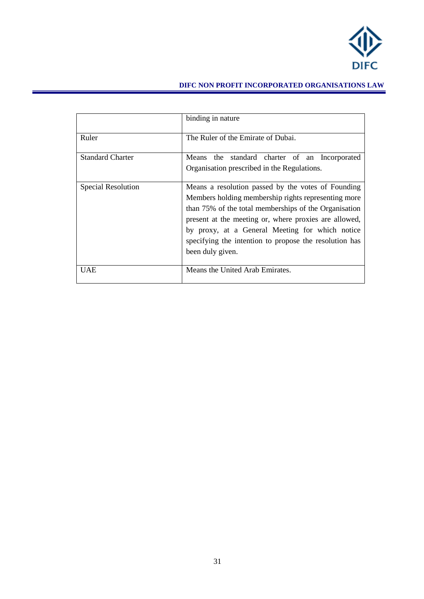

|                           | binding in nature                                                                                                                                                                                                                                                                                                                                            |
|---------------------------|--------------------------------------------------------------------------------------------------------------------------------------------------------------------------------------------------------------------------------------------------------------------------------------------------------------------------------------------------------------|
| Ruler                     | The Ruler of the Emirate of Dubai.                                                                                                                                                                                                                                                                                                                           |
| <b>Standard Charter</b>   | Means the standard charter of an Incorporated<br>Organisation prescribed in the Regulations.                                                                                                                                                                                                                                                                 |
| <b>Special Resolution</b> | Means a resolution passed by the votes of Founding<br>Members holding membership rights representing more<br>than 75% of the total memberships of the Organisation<br>present at the meeting or, where proxies are allowed,<br>by proxy, at a General Meeting for which notice<br>specifying the intention to propose the resolution has<br>been duly given. |
| UAE                       | Means the United Arab Emirates.                                                                                                                                                                                                                                                                                                                              |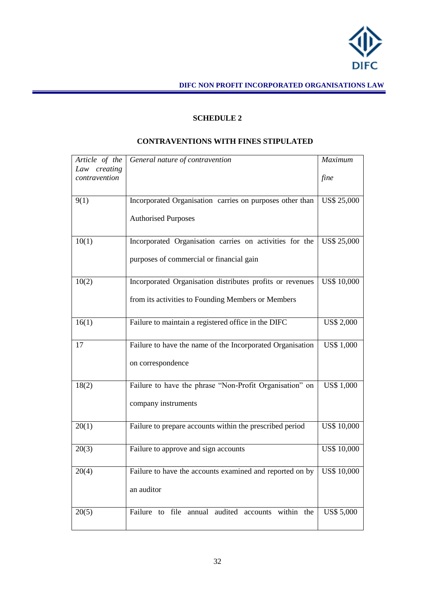

## **SCHEDULE 2**

## **CONTRAVENTIONS WITH FINES STIPULATED**

<span id="page-31-0"></span>

| Article of the                | General nature of contravention                                              | Maximum            |
|-------------------------------|------------------------------------------------------------------------------|--------------------|
| Law creating<br>contravention |                                                                              | fine               |
| 9(1)                          | Incorporated Organisation carries on purposes other than                     | <b>US\$ 25,000</b> |
|                               | <b>Authorised Purposes</b>                                                   |                    |
| 10(1)                         | Incorporated Organisation carries on activities for the                      | <b>US\$ 25,000</b> |
|                               | purposes of commercial or financial gain                                     |                    |
| 10(2)                         | Incorporated Organisation distributes profits or revenues                    | <b>US\$ 10,000</b> |
|                               | from its activities to Founding Members or Members                           |                    |
| 16(1)                         | Failure to maintain a registered office in the DIFC                          | <b>US\$ 2,000</b>  |
| 17                            | Failure to have the name of the Incorporated Organisation                    | <b>US\$ 1,000</b>  |
|                               | on correspondence                                                            |                    |
| 18(2)                         | Failure to have the phrase "Non-Profit Organisation" on                      | <b>US\$ 1,000</b>  |
|                               | company instruments                                                          |                    |
| 20(1)                         | Failure to prepare accounts within the prescribed period                     | <b>US\$ 10,000</b> |
| 20(3)                         | Failure to approve and sign accounts                                         | <b>US\$ 10,000</b> |
| 20(4)                         | Failure to have the accounts examined and reported on by $\vert$ US\$ 10,000 |                    |
|                               | an auditor                                                                   |                    |
| 20(5)                         | Failure to file annual audited accounts within the                           | <b>US\$ 5,000</b>  |